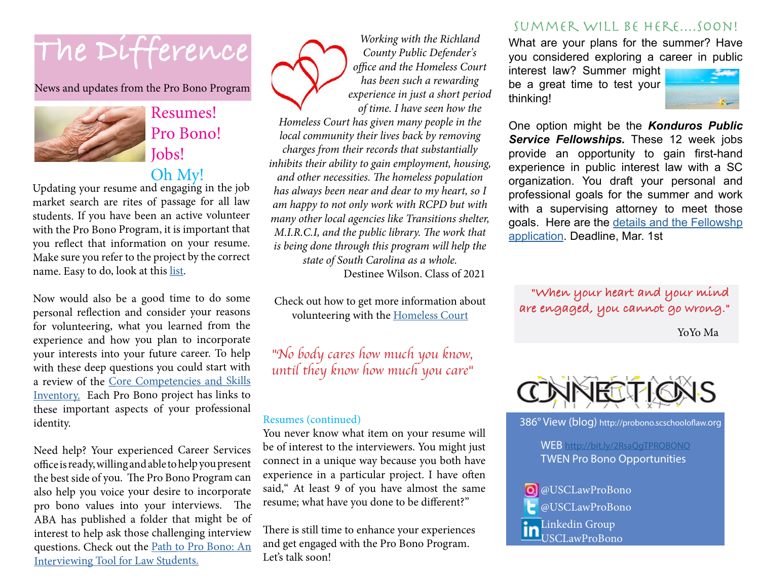# The Difference

News and updates from the Pro Bono Program



## Resumes! Pro Bono! Jobs! Oh My!

Updating your resume and engaging in the job market search are rites of passage for all law students. If you have been an active volunteer with the Pro Bono Program, it is important that you reflect that information on your resume. Make sure you refer to the project by the correct name. Easy to do, look at this [list](https://sc.edu/study/colleges_schools/law/internal/department/pro_bono/student/index.php).

Now would also be a good time to do some personal reflection and consider your reasons for volunteering, what you learned from the experience and how you plan to incorporate your interests into your future career. To help with these deep questions you could start with a review of the [Core Competencies and Skills](https://sc.edu/study/colleges_schools/law/internal/department/pro_bono/core_competencies.php) [Inventory.](https://sc.edu/study/colleges_schools/law/internal/department/pro_bono/core_competencies.php) Each Pro Bono project has links to these important aspects of your professional identity.

Need help? Your experienced Career Services office is ready, willing and able to help you present the best side of you. The Pro Bono Program can also help you voice your desire to incorporate pro bono values into your interviews. The ABA has published a folder that might be of interest to help ask those challenging interview questions. Check out the [Path to Pro Bono: An](https://www.americanbar.org/content/dam/aba/administrative/probono_public_service/as/path.pdf)  [Interviewing Tool for Law Students.](https://www.americanbar.org/content/dam/aba/administrative/probono_public_service/as/path.pdf)



Check out how to get more information about volunteering with the [Homeless Court](https://sc.edu/study/colleges_schools/law/internal/department/pro_bono/student/homeless_court.php)

*"No body cares how much you know, until they know how much you care"*

#### Resumes (continued)

You never know what item on your resume will be of interest to the interviewers. You might just connect in a unique way because you both have experience in a particular project. I have often said," At least 9 of you have almost the same resume; what have you done to be different?"

There is still time to enhance your experiences and get engaged with the Pro Bono Program. Let's talk soon!

### SUMMER WILL BE HERE....SOON!

What are your plans for the summer? Have you considered exploring a career in public

interest law? Summer might be a great time to test your thinking!



One option might be the *Konduros Public Service Fellowships.* These 12 week jobs provide an opportunity to gain first-hand experience in public interest law with a SC organization. You draft your personal and professional goals for the summer and work with a supervising attorney to meet those goals. Here are the [details and the Fellowshp](https://sc.edu/study/colleges_schools/law/internal/department/pro_bono/konduros/index.php)  [application](https://sc.edu/study/colleges_schools/law/internal/department/pro_bono/konduros/index.php). Deadline, Mar. 1st

 **"When your heart and your mind are engaged, you cannot go wrong."** 

YoYo Ma



386° View (blog) <http://probono.scschooloflaw.org>

 WEB http://bit.ly/2RsaQgTPROBONO TWEN Pro Bono Opportunities